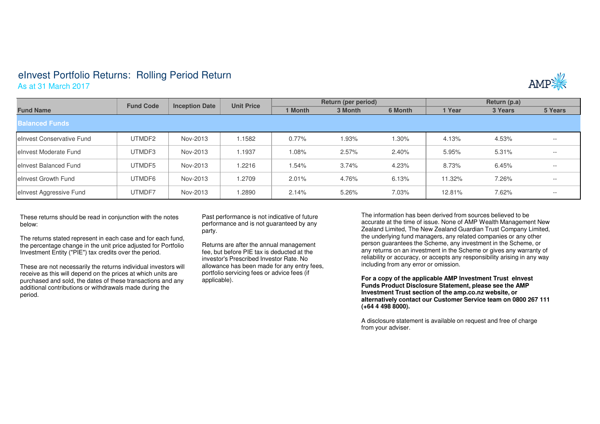## eInvest Portfolio Returns: Rolling Period Return As at 31 March 2017



|                            | <b>Fund Code</b><br><b>Inception Date</b> |          | <b>Unit Price</b> | Return (per period) |         |         | Return (p.a) |         |         |  |  |  |  |
|----------------------------|-------------------------------------------|----------|-------------------|---------------------|---------|---------|--------------|---------|---------|--|--|--|--|
| <b>Fund Name</b>           |                                           |          |                   | 1 Month             | 3 Month | 6 Month | 1 Year       | 3 Years | 5 Years |  |  |  |  |
| <b>Balanced Funds</b>      |                                           |          |                   |                     |         |         |              |         |         |  |  |  |  |
| lelnyest Conservative Fund | UTMDF2                                    | Nov-2013 | .1582             | $0.77\%$            | 1.93%   | 1.30%   | 4.13%        | 4.53%   | $- -$   |  |  |  |  |
| le Invest Moderate Fund    | UTMDF3                                    | Nov-2013 | 1.1937            | $0.08\%$            | 2.57%   | 2.40%   | 5.95%        | 5.31%   | $- -$   |  |  |  |  |
| lelnyest Balanced Fund     | UTMDF5                                    | Nov-2013 | 1.2216            | 1.54%               | 3.74%   | 4.23%   | 8.73%        | 6.45%   | $- -$   |  |  |  |  |
| lelnyest Growth Fund       | UTMDF6                                    | Nov-2013 | 1.2709            | 2.01%               | 4.76%   | 6.13%   | 11.32%       | 7.26%   | $- -$   |  |  |  |  |
| elnvest Aggressive Fund    | UTMDF7                                    | Nov-2013 | 1.2890            | 2.14%               | 5.26%   | 7.03%   | 12.81%       | 7.62%   | $- -$   |  |  |  |  |

These returns should be read in conjunction with the notes below:

The returns stated represent in each case and for each fund, the percentage change in the unit price adjusted for Portfolio Investment Entity ("PIE") tax credits over the period.

These are not necessarily the returns individual investors will receive as this will depend on the prices at which units are purchased and sold, the dates of these transactions and anyadditional contributions or withdrawals made during the period.

Past performance is not indicative of future performance and is not guaranteed by any party.

Returns are after the annual management fee, but before PIE tax is deducted at the investor's Prescribed Investor Rate. No allowance has been made for any entry fees, portfolio servicing fees or advice fees (if applicable).

The information has been derived from sources believed to be accurate at the time of issue. None of AMP Wealth Management New Zealand Limited, The New Zealand Guardian Trust Company Limited, the underlying fund managers, any related companies or any other person guarantees the Scheme, any investment in the Scheme, or any returns on an investment in the Scheme or gives any warranty of reliability or accuracy, or accepts any responsibility arising in any way including from any error or omission.

**For a copy of the applicable AMP Investment Trust eInvest Funds Product Disclosure Statement, please see the AMP Investment Trust section of the amp.co.nz website, or alternatively contact our Customer Service team on 0800 267 111 (+64 4 498 8000).**

A disclosure statement is available on request and free of charge from your adviser.